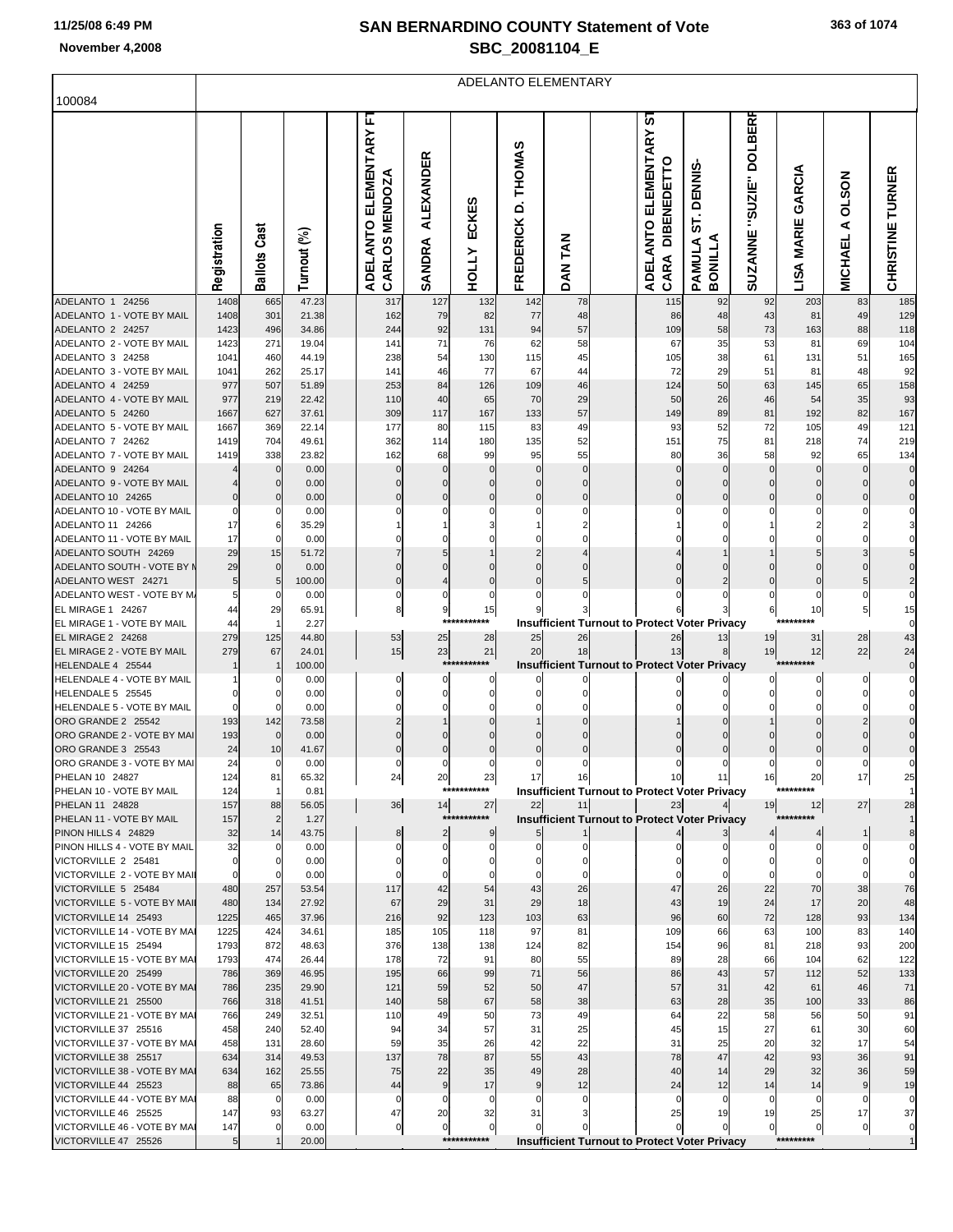F

# **SAN BERNARDINO COUNTY Statement of Vote November 4,2008 SBC\_20081104\_E**

|                                                        |                |                      |                |                                             |                       |                       |                          | ADELANTO ELEMENTARY        |                                                            |                                 |                         |                             |                                     |                         |
|--------------------------------------------------------|----------------|----------------------|----------------|---------------------------------------------|-----------------------|-----------------------|--------------------------|----------------------------|------------------------------------------------------------|---------------------------------|-------------------------|-----------------------------|-------------------------------------|-------------------------|
| 100084                                                 |                |                      |                |                                             |                       |                       |                          |                            |                                                            |                                 |                         |                             |                                     |                         |
|                                                        | Registration   | <b>Ballots Cast</b>  | Turnout (%)    | L.<br>ADELANTO ELEMENTARY<br>CARLOS MENDOZA | ALEXANDER<br>SANDRA   | ECKES<br><b>HOLLY</b> | FREDERICK D. THOMAS      | DAN TAN                    | <u>რ</u><br>ADELANTO ELEMENTARY<br>CARA DIBENEDETTO        | ST. DENNIS<br>BONILLA<br>PAMULA | SUZANNE "SUZIE" DOLBERR | GARCIA<br><b>LISA MARIE</b> | <b>NOS7O</b><br>⋖<br><b>MICHAEL</b> | CHRISTINE TURNER        |
| ADELANTO 1 24256<br>ADELANTO 1 - VOTE BY MAIL          | 1408<br>1408   | 665<br>301           | 47.23<br>21.38 | 317<br>162                                  | 127<br>79             | 132<br>82             | 142<br>77                | 78<br>48                   | 115<br>86                                                  | 92<br>48                        | 92<br>43                | 203<br>81                   | 83<br>49                            | 185<br>129              |
| ADELANTO 2 24257                                       | 1423           | 496                  | 34.86          | 244                                         | 92                    | 131                   | 94                       | 57                         | 109                                                        | 58                              | 73                      | 163                         | 88                                  | 118                     |
| ADELANTO 2 - VOTE BY MAIL                              | 1423           | 271                  | 19.04          | 141                                         | 71                    | 76                    | 62                       | 58                         | 67                                                         | 35                              | 53                      | 81                          | 69                                  | 104                     |
| ADELANTO 3 24258<br>ADELANTO 3 - VOTE BY MAIL          | 1041<br>1041   | 460<br>262           | 44.19<br>25.17 | 238<br>141                                  | 54<br>46              | 130<br>77             | 115<br>67                | 45<br>44                   | 105<br>72                                                  | 38<br>29                        | 61<br>51                | 131<br>81                   | 51<br>48                            | 165<br>92               |
| ADELANTO 4 24259                                       | 977            | 507                  | 51.89          | 253                                         | 84                    | 126                   | 109                      | 46                         | 124                                                        | 50                              | 63                      | 145                         | 65                                  | 158                     |
| ADELANTO 4 - VOTE BY MAIL                              | 977            | 219                  | 22.42          | 110                                         | 40                    | 65                    | 70                       | 29                         | 50                                                         | 26                              | 46                      | 54                          | 35                                  | 93                      |
| ADELANTO 5 24260                                       | 1667           | 627                  | 37.61          | 309                                         | 117                   | 167                   | 133                      | 57                         | 149                                                        | 89                              | 81                      | 192                         | 82                                  | 167                     |
| ADELANTO 5 - VOTE BY MAIL<br>ADELANTO 7 24262          | 1667<br>1419   | 369<br>704           | 22.14<br>49.61 | 177<br>362                                  | 80<br>114             | 115<br>180            | 83<br>135                | 49<br>52                   | 93<br>151                                                  | 52<br>75                        | 72<br>81                | 105<br>218                  | 49<br>74                            | 121<br>219              |
| ADELANTO 7 - VOTE BY MAIL                              | 1419           | 338                  | 23.82          | 162                                         | 68                    | 99                    | 95                       | 55                         | 80                                                         | 36                              | 58                      | 92                          | 65                                  | 134                     |
| ADELANTO 9 24264                                       |                | 0                    | 0.00           |                                             |                       | 0                     | 0                        | $\mathbf 0$                |                                                            |                                 | $\Omega$                | $\mathbf 0$                 |                                     | $\pmb{0}$               |
| ADELANTO 9 - VOTE BY MAIL                              |                | 0                    | 0.00           |                                             |                       | 0                     | $\mathbf 0$              | $\mathbf 0$                |                                                            |                                 |                         | $\mathbf 0$                 |                                     | $\pmb{0}$               |
| ADELANTO 10 24265<br>ADELANTO 10 - VOTE BY MAIL        |                | $\mathbf 0$<br>0     | 0.00<br>0.00   |                                             | 0                     | $\mathbf 0$           | $\mathbf 0$              | $\mathbf 0$<br>0           |                                                            |                                 |                         |                             |                                     | $\bf{0}$<br>0           |
| ADELANTO 11 24266                                      | 17             | 6                    | 35.29          |                                             |                       |                       |                          | 2                          |                                                            |                                 |                         |                             |                                     | 3                       |
| ADELANTO 11 - VOTE BY MAIL                             | 17             | 0                    | 0.00           |                                             |                       |                       |                          |                            |                                                            |                                 |                         |                             |                                     | 0                       |
| ADELANTO SOUTH 24269<br>ADELANTO SOUTH - VOTE BY M     | 29             | 15<br>0              | 51.72<br>0.00  |                                             |                       | $\Omega$              | $\Omega$                 | $\Omega$                   |                                                            |                                 |                         |                             |                                     | 5<br>$\pmb{0}$          |
| ADELANTO WEST 24271                                    | 29             | 5                    | 100.00         |                                             | 4                     | $\mathbf 0$           |                          |                            |                                                            |                                 |                         |                             |                                     | $\overline{\mathbf{c}}$ |
| ADELANTO WEST - VOTE BY M                              |                | 0                    | 0.00           | 0                                           | 0                     | 0                     | 0                        | 0                          |                                                            |                                 | 0                       | 0                           | 0                                   | 0                       |
| <b>EL MIRAGE 1 24267</b>                               | 44             | 29                   | 65.91          | 8                                           | 9                     | 15                    |                          | 3                          |                                                            |                                 | 6                       | 10                          | 5                                   | 15                      |
| EL MIRAGE 1 - VOTE BY MAIL<br><b>EL MIRAGE 2 24268</b> | 44<br>279      | 1<br>125             | 2.27<br>44.80  | 53                                          | ***<br>25             | ***<br>28             | 25                       | 26                         | <b>Insufficient Turnout to Protect Voter Privacy</b><br>26 |                                 | 19                      | 31                          | 28                                  | $\pmb{0}$<br>43         |
| EL MIRAGE 2 - VOTE BY MAIL                             | 279            | 67                   | 24.01          | 15                                          | 23                    | 21                    | 20                       | 18                         | 13                                                         | 13<br>8                         | 19                      | 12                          | 22                                  | 24                      |
| HELENDALE 4 25544                                      |                |                      | 100.00         |                                             | ***                   | ***                   |                          |                            | <b>Insufficient Turnout to Protect Voter Privacy</b>       |                                 |                         |                             |                                     | $\pmb{0}$               |
| HELENDALE 4 - VOTE BY MAIL                             |                | 0                    | 0.00           |                                             | 0                     | 0                     |                          |                            |                                                            |                                 |                         | 0                           |                                     | 0                       |
| HELENDALE 5 25545<br>HELENDALE 5 - VOTE BY MAIL        |                | 0<br>$\Omega$        | 0.00<br>0.00   |                                             | 0                     | 0<br>0                |                          |                            |                                                            |                                 |                         | $\Omega$                    |                                     | 0<br>0                  |
| ORO GRANDE 2 25542                                     | 193            | 142                  | 73.58          |                                             |                       | $\Omega$              |                          |                            |                                                            |                                 |                         |                             |                                     | $\pmb{0}$               |
| ORO GRANDE 2 - VOTE BY MAI                             | 193            | 0                    | 0.00           |                                             |                       | $\Omega$              | $\mathbf 0$              | 0                          |                                                            |                                 |                         |                             |                                     | 0                       |
| ORO GRANDE 3 25543<br>ORO GRANDE 3 - VOTE BY MAI       | 24<br>24       | 10<br>$\mathbf 0$    | 41.67<br>0.00  | 0<br>0                                      | 0<br>0                | $\mathbf 0$<br>0      | $\pmb{0}$<br>$\mathbf 0$ | $\mathbf 0$<br>$\mathbf 0$ | $\mathbf 0$                                                | C                               | $\Omega$                | $\Omega$                    |                                     | $\mathbf 0$<br>0        |
| PHELAN 10 24827                                        | 124            | 81                   | 65.32          | 24                                          | 20                    | 23                    | 17                       | 16                         | 10                                                         | 11                              | 16                      | 20                          | 17                                  | 25                      |
| PHELAN 10 - VOTE BY MAIL                               | 124            | $\mathbf{1}$         | 0.81           |                                             | ****                  | *******               |                          |                            | <b>Insufficient Turnout to Protect Voter Privacy</b>       |                                 |                         | *********                   |                                     | $\mathbf{1}$            |
| PHELAN 11 24828                                        | 157            | 88                   | 56.05          | 36                                          | 14<br>***:            | 27<br>******          | 22                       | 11                         | 23                                                         |                                 | 19                      | 12<br>*********             | $27\,$                              | 28                      |
| PHELAN 11 - VOTE BY MAIL<br>PINON HILLS 4 24829        | 157<br>32      | $\overline{2}$<br>14 | 1.27<br>43.75  | 8                                           | $\overline{c}$        | 9                     |                          |                            | <b>Insufficient Turnout to Protect Voter Privacy</b>       |                                 |                         | 4                           | 1                                   | $\mathbf{1}$<br>8       |
| PINON HILLS 4 - VOTE BY MAIL                           | 32             | 0                    | 0.00           | 0                                           | 0                     | $\mathbf{0}$          | 0                        | 0                          |                                                            |                                 | $\Omega$                | 0                           |                                     | $\mathbf 0$             |
| VICTORVILLE 2 25481                                    |                | 0                    | 0.00           | n                                           | 0                     | 0                     | $\mathbf 0$              | $\mathbf 0$                |                                                            |                                 |                         | 0                           |                                     | $\mathbf 0$             |
| VICTORVILLE 2 - VOTE BY MAIL<br>VICTORVILLE 5 25484    | 480            | 0<br>257             | 0.00<br>53.54  | 117                                         | 0<br>42               | $\mathbf 0$<br>54     | $\mathbf 0$              | $\mathbf 0$                | $\Omega$<br>47                                             | $\mathsf{C}$<br>26              | $\Omega$<br>22          | $\mathbf 0$<br>70           | 38                                  | $\mathbf 0$             |
| VICTORVILLE 5 - VOTE BY MAII                           | 480            | 134                  | 27.92          | 67                                          | 29                    | 31                    | 43<br>29                 | 26<br>18                   | 43                                                         | 19                              | 24                      | 17                          | 20                                  | 76<br>48                |
| VICTORVILLE 14 25493                                   | 1225           | 465                  | 37.96          | 216                                         | 92                    | 123                   | 103                      | 63                         | 96                                                         | 60                              | 72                      | 128                         | 93                                  | 134                     |
| VICTORVILLE 14 - VOTE BY MAI                           | 1225           | 424                  | 34.61          | 185                                         | 105                   | 118                   | 97                       | 81                         | 109                                                        | 66                              | 63                      | 100                         | 83                                  | 140                     |
| VICTORVILLE 15 25494<br>VICTORVILLE 15 - VOTE BY MAI   | 1793<br>1793   | 872<br>474           | 48.63<br>26.44 | 376<br>178                                  | 138<br>72             | 138<br>91             | 124<br>80                | 82<br>55                   | 154<br>89                                                  | 96<br>28                        | 81<br>66                | 218<br>104                  | 93<br>62                            | 200<br>122              |
| VICTORVILLE 20 25499                                   | 786            | 369                  | 46.95          | 195                                         | 66                    | 99                    | 71                       | 56                         | 86                                                         | 43                              | 57                      | 112                         | 52                                  | 133                     |
| VICTORVILLE 20 - VOTE BY MAI                           | 786            | 235                  | 29.90          | 121                                         | 59                    | 52                    | 50                       | 47                         | 57                                                         | 31                              | 42                      | 61                          | 46                                  | 71                      |
| VICTORVILLE 21 25500                                   | 766            | 318                  | 41.51          | 140                                         | 58                    | 67                    | 58                       | 38                         | 63                                                         | 28                              | 35                      | 100                         | 33                                  | 86                      |
| VICTORVILLE 21 - VOTE BY MAI<br>VICTORVILLE 37 25516   | 766<br>458     | 249<br>240           | 32.51<br>52.40 | 110<br>94                                   | 49<br>34              | 50<br>57              | 73<br>31                 | 49<br>25                   | 64<br>45                                                   | 22<br>15                        | 58<br>27                | 56<br>61                    | 50<br>30                            | 91<br>60                |
| VICTORVILLE 37 - VOTE BY MAI                           | 458            | 131                  | 28.60          | 59                                          | 35                    | 26                    | 42                       | 22                         | 31                                                         | 25                              | 20                      | 32                          | 17                                  | 54                      |
| VICTORVILLE 38 25517                                   | 634            | 314                  | 49.53          | 137                                         | 78                    | 87                    | 55                       | 43                         | 78                                                         | 47                              | 42                      | 93                          | 36                                  | 91                      |
| VICTORVILLE 38 - VOTE BY MAI                           | 634            | 162                  | 25.55          | 75                                          | 22                    | 35                    | 49                       | 28                         | 40                                                         | 14                              | 29                      | 32                          | 36                                  | 59                      |
| VICTORVILLE 44 25523<br>VICTORVILLE 44 - VOTE BY MAI   | 88<br>88       | 65<br>0              | 73.86<br>0.00  | 44<br>0                                     | $\boldsymbol{9}$<br>0 | 17<br>0               | $\boldsymbol{9}$<br>0    | 12<br>0                    | 24<br>0                                                    | 12<br>$\mathbf 0$               | 14<br>$\mathbf 0$       | 14<br>0                     | $\boldsymbol{9}$<br>0               | 19<br>$\mathbf 0$       |
| VICTORVILLE 46 25525                                   | 147            | 93                   | 63.27          | 47                                          | 20                    | 32                    | 31                       | 3                          | 25                                                         | 19                              | 19                      | 25                          | 17                                  | 37                      |
| VICTORVILLE 46 - VOTE BY MAI                           | 147            | 0                    | 0.00           | 0                                           | $\mathbf 0$           | $\overline{0}$        | $\Omega$                 |                            | $\Omega$                                                   | C                               | $\Omega$                | $\overline{0}$              | $\overline{0}$                      | $\mathbf 0$             |
| VICTORVILLE 47 25526                                   | 5 <sub>l</sub> |                      | 20.00          |                                             |                       | ***********           |                          |                            | <b>Insufficient Turnout to Protect Voter Privacy</b>       |                                 |                         | *********                   |                                     | $\mathbf{1}$            |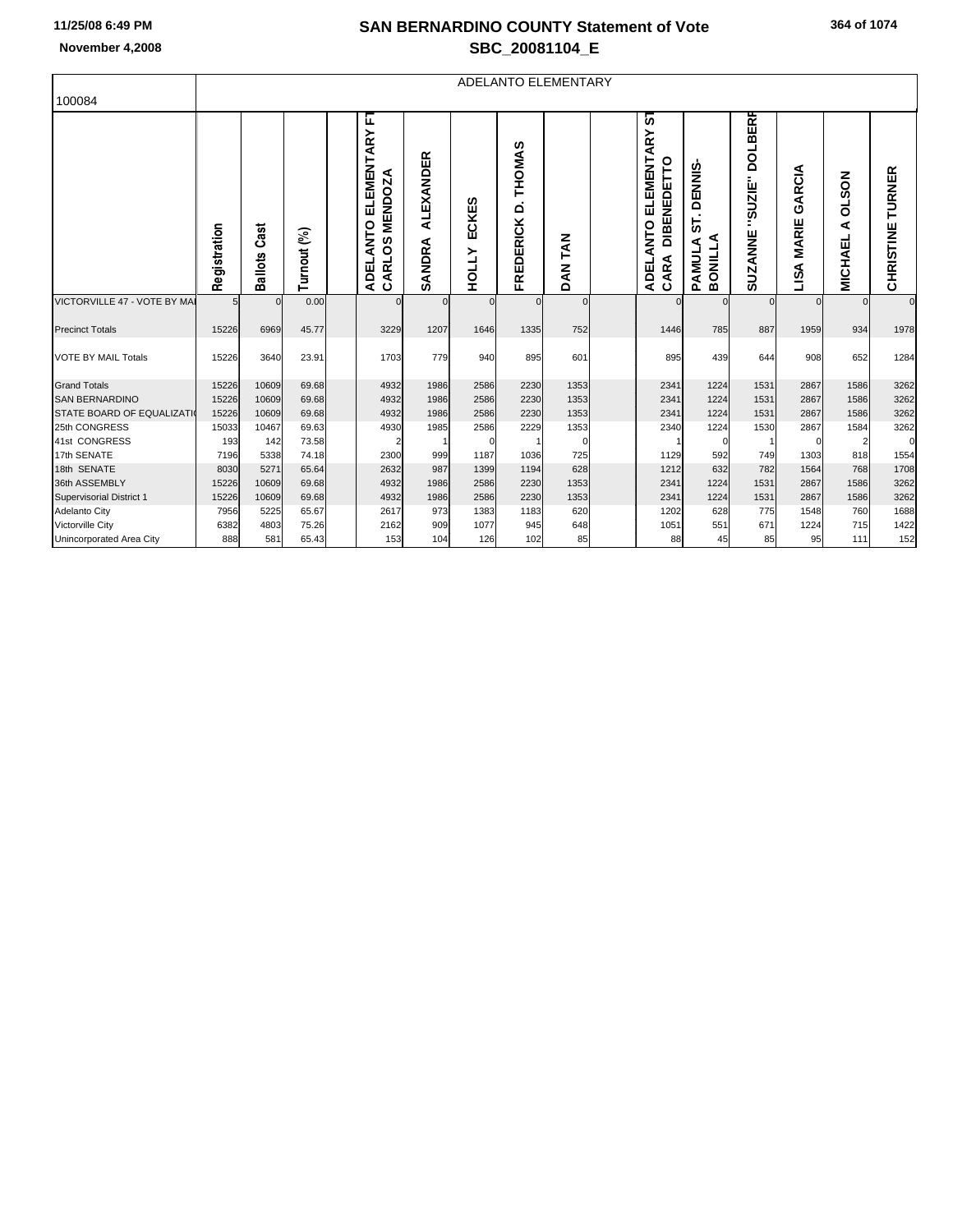### **SAN BERNARDINO COUNTY Statement of Vote November 4,2008 SBC\_20081104\_E**

| 100084                       | ADELANTO ELEMENTARY |                        |              |  |                                                                         |                     |                              |                                       |                          |  |                                                                              |                                                    |                                                   |                                     |                                        |                     |
|------------------------------|---------------------|------------------------|--------------|--|-------------------------------------------------------------------------|---------------------|------------------------------|---------------------------------------|--------------------------|--|------------------------------------------------------------------------------|----------------------------------------------------|---------------------------------------------------|-------------------------------------|----------------------------------------|---------------------|
|                              | Registration        | Cast<br><b>Ballots</b> | E<br>Turnout |  | E<br>ELEMENTARY<br><b>MENDOZA</b><br><b>ANTO</b><br>°S<br>CARL<br>ADEL. | ALEXANDER<br>SANDRA | <b>ECKES</b><br><b>HOLLY</b> | THOMAS<br>$\vec{\Omega}$<br>FREDERICK | <b>TAN</b><br><b>DAN</b> |  | 5<br><b>ELEMENTARY</b><br><b>DIBENEDETTO</b><br><b>ANTO</b><br>CARA<br>ADEL. | <b>DENNIS</b><br>ნ<br>BONILLA<br>⋖<br><b>PAMUL</b> | <b>DOLBERR</b><br><b>SUZIE"</b><br><b>SUZANNE</b> | €<br>Æ<br>ပ<br><b>MARIE</b><br>LISA | <b>NOS</b><br>o<br>⋖<br><b>MICHAEL</b> | TURNER<br>CHRISTINE |
| VICTORVILLE 47 - VOTE BY MAI | 5                   | $\Omega$               | 0.00         |  |                                                                         |                     |                              | $\mathbf 0$                           | $\Omega$                 |  |                                                                              | $\Omega$                                           |                                                   | $\Omega$                            | $\Omega$                               | $\mathbf 0$         |
| <b>Precinct Totals</b>       | 15226               | 6969                   | 45.77        |  | 3229                                                                    | 1207                | 1646                         | 1335                                  | 752                      |  | 1446                                                                         | 785                                                | 887                                               | 1959                                | 934                                    | 1978                |
| <b>VOTE BY MAIL Totals</b>   | 15226               | 3640                   | 23.91        |  | 1703                                                                    | 779                 | 940                          | 895                                   | 601                      |  | 895                                                                          | 439                                                | 644                                               | 908                                 | 652                                    | 1284                |
| <b>Grand Totals</b>          | 15226               | 10609                  | 69.68        |  | 4932                                                                    | 1986                | 2586                         | 2230                                  | 1353                     |  | 2341                                                                         | 1224                                               | 1531                                              | 2867                                | 1586                                   | 3262                |
| <b>SAN BERNARDINO</b>        | 15226               | 10609                  | 69.68        |  | 4932                                                                    | 1986                | 2586                         | 2230                                  | 1353                     |  | 2341                                                                         | 1224                                               | 1531                                              | 2867                                | 1586                                   | 3262                |
| STATE BOARD OF EQUALIZATI    | 15226               | 10609                  | 69.68        |  | 4932                                                                    | 1986                | 2586                         | 2230                                  | 1353                     |  | 2341                                                                         | 1224                                               | 1531                                              | 2867                                | 1586                                   | 3262                |
| 25th CONGRESS                | 15033               | 10467                  | 69.63        |  | 4930                                                                    | 1985                | 2586                         | 2229                                  | 1353                     |  | 2340                                                                         | 1224                                               | 1530                                              | 2867                                | 1584                                   | 3262                |
| 41st CONGRESS                | 193                 | 142                    | 73.58        |  |                                                                         |                     |                              |                                       |                          |  |                                                                              | $\Omega$                                           |                                                   |                                     |                                        | 0                   |
| 17th SENATE                  | 7196                | 5338                   | 74.18        |  | 2300                                                                    | 999                 | 1187                         | 1036                                  | 725                      |  | 1129                                                                         | 592                                                | 749                                               | 1303                                | 818                                    | 1554                |
| 18th SENATE                  | 8030                | 5271                   | 65.64        |  | 2632                                                                    | 987                 | 1399                         | 1194                                  | 628                      |  | 1212                                                                         | 632                                                | 782                                               | 1564                                | 768                                    | 1708                |
| 36th ASSEMBLY                | 15226               | 10609                  | 69.68        |  | 4932                                                                    | 1986                | 2586                         | 2230                                  | 1353                     |  | 2341                                                                         | 1224                                               | 1531                                              | 2867                                | 1586                                   | 3262                |

|<br>| Supervisorial District 1 | 15226 10609 69.68 | 4932 1986 2586 2230 1353 | 2341 1224 1531 2867 1586 3262<br>| Adelanto City | 7956 5225 65.67 | 2617 973 1383 1183 620 | 1202 628 775 1548 760 1688 Adelanto City | 7956| 5225| 65.67| | 2617| 973| 1383| 1183| 620| | 1202| 628| 775| 1548| 760| 1688 Victorville City | 6382| 4803| 75.26| | 2162| 909| 1077| 945| 648| | 1051| 551| 671| 1224| 715| 1422 Unincorporated Area City | 888 581 65.43 | 153 104 126 102 85 | 88 45 85 95 111 152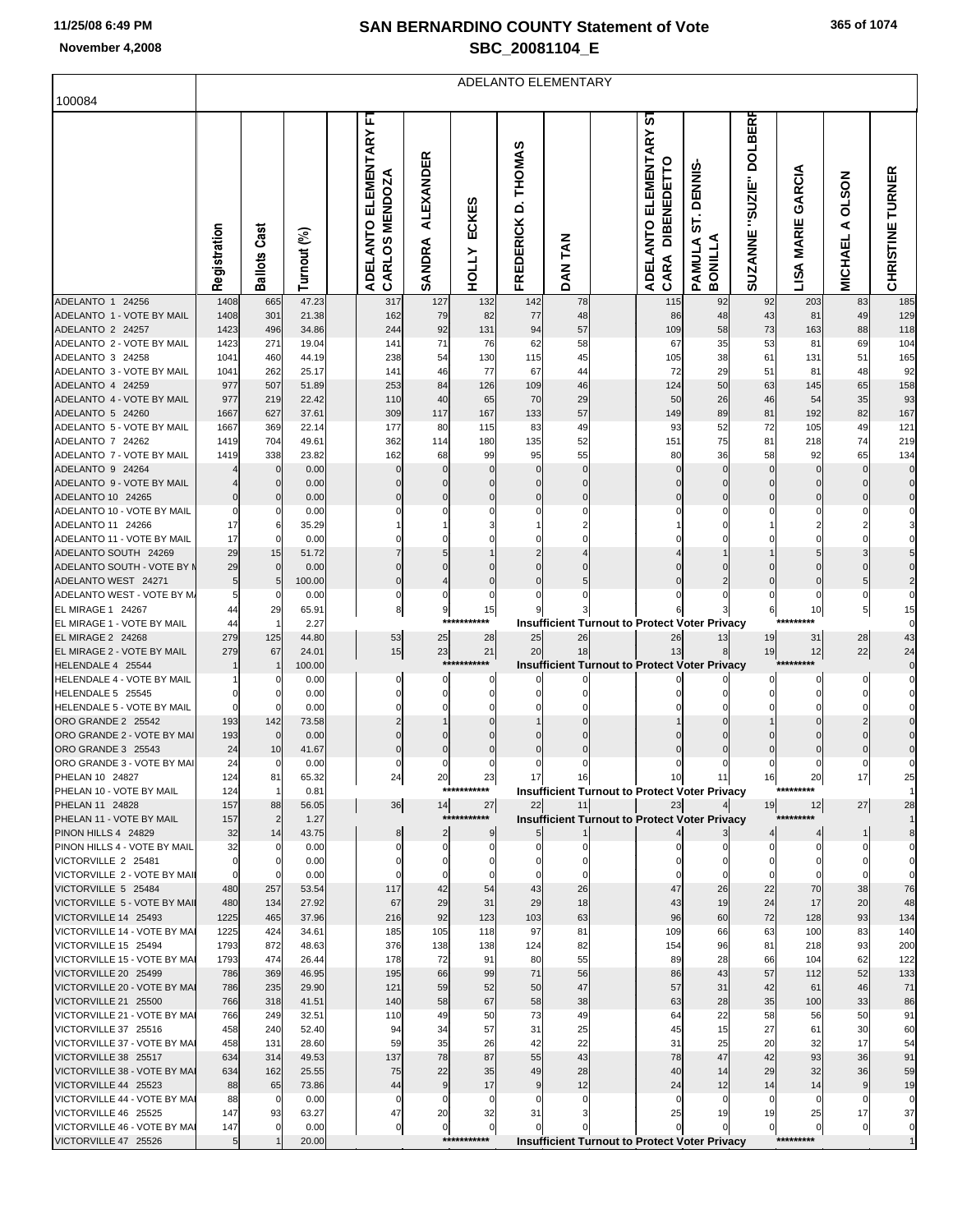ı,

# **SAN BERNARDINO COUNTY Statement of Vote November 4,2008 SBC\_20081104\_E**

| 100084                                                 | ADELANTO ELEMENTARY |                      |                |  |                                       |                            |                         |                               |                         |  |                                                            |                                |                                   |                                |                                     |                              |
|--------------------------------------------------------|---------------------|----------------------|----------------|--|---------------------------------------|----------------------------|-------------------------|-------------------------------|-------------------------|--|------------------------------------------------------------|--------------------------------|-----------------------------------|--------------------------------|-------------------------------------|------------------------------|
|                                                        |                     |                      |                |  | E                                     |                            |                         |                               |                         |  | 5                                                          |                                |                                   |                                |                                     |                              |
|                                                        | Registration        | <b>Ballots Cast</b>  | Turnout (%)    |  | ADELANTO ELEMENTARY<br>CARLOS MENDOZA | <b>ALEXANDER</b><br>SANDRA | ECKES<br><b>HOLLY</b>   | D. THOMAS<br><b>FREDERICK</b> | N<br>T<br><b>NAQ</b>    |  | ADELANTO ELEMENTARY<br>CARA DIBENEDETTO                    | ST. DENNI<br>BONILLA<br>PAMULA | "SUZIE" DOLBERF<br><b>SUZANNE</b> | GARCIA<br><b>MARIE</b><br>LISA | <b>NOS7O</b><br>⋖<br><b>MICHAEL</b> | CHRISTINE TURNER             |
| ADELANTO 1 24256<br>ADELANTO 1 - VOTE BY MAIL          | 1408<br>1408        | 665<br>301           | 47.23<br>21.38 |  | 317<br>162                            | 127<br>79                  | 132<br>82               | 142<br>77                     | 78<br>48                |  | 115<br>86                                                  | 92<br>48                       | 92<br>43                          | 203<br>81                      | 83<br>49                            | 185<br>129                   |
| ADELANTO 2 24257                                       | 1423                | 496                  | 34.86          |  | 244                                   | 92                         | 131                     | 94                            | 57                      |  | 109                                                        | 58                             | 73                                | 163                            | 88                                  | 118                          |
| ADELANTO 2 - VOTE BY MAIL                              | 1423                | 271                  | 19.04          |  | 141                                   | 71                         | 76                      | 62                            | 58                      |  | 67                                                         | 35                             | 53                                | 81                             | 69                                  | 104                          |
| ADELANTO 3 24258<br>ADELANTO 3 - VOTE BY MAIL          | 1041                | 460<br>262           | 44.19          |  | 238                                   | 54                         | 130                     | 115                           | 45                      |  | 105<br>72                                                  | 38                             | 61                                | 131                            | 51                                  | 165                          |
| ADELANTO 4 24259                                       | 1041<br>977         | 507                  | 25.17<br>51.89 |  | 141<br>253                            | 46<br>84                   | 77<br>126               | 67<br>109                     | 44<br>46                |  | 124                                                        | 29<br>50                       | 51<br>63                          | 81<br>145                      | 48<br>65                            | 92<br>158                    |
| ADELANTO 4 - VOTE BY MAIL                              | 977                 | 219                  | 22.42          |  | 110                                   | 40                         | 65                      | 70                            | 29                      |  | 50                                                         | 26                             | 46                                | 54                             | 35                                  | 93                           |
| ADELANTO 5 24260                                       | 1667                | 627                  | 37.61          |  | 309                                   | 117                        | 167                     | 133                           | 57                      |  | 149                                                        | 89                             | 81                                | 192                            | 82                                  | 167                          |
| ADELANTO 5 - VOTE BY MAIL<br>ADELANTO 7 24262          | 1667<br>1419        | 369<br>704           | 22.14<br>49.61 |  | 177<br>362                            | 80                         | 115<br>180              | 83<br>135                     | 49<br>52                |  | 93<br>151                                                  | 52<br>75                       | 72<br>81                          | 105<br>218                     | 49<br>74                            | 121<br>219                   |
| ADELANTO 7 - VOTE BY MAIL                              | 1419                | 338                  | 23.82          |  | 162                                   | 114<br>68                  | 99                      | 95                            | 55                      |  | 80                                                         | 36                             | 58                                | 92                             | 65                                  | 134                          |
| ADELANTO 9 24264                                       |                     | $\mathbf{0}$         | 0.00           |  |                                       | 0                          | $\Omega$                | 0                             | $\Omega$                |  |                                                            | C                              | $\Omega$                          | $\mathbf 0$                    | $\Omega$                            | $\pmb{0}$                    |
| ADELANTO 9 - VOTE BY MAIL                              |                     | $\Omega$             | 0.00           |  |                                       | $\Omega$                   | $\Omega$                | $\Omega$                      | $\Omega$                |  |                                                            | C                              |                                   | $\mathbf 0$                    |                                     | $\pmb{0}$                    |
| ADELANTO 10 24265<br>ADELANTO 10 - VOTE BY MAIL        |                     | $\Omega$<br>0        | 0.00<br>0.00   |  |                                       | $\mathbf 0$<br>0           | $\Omega$<br>0           | $\mathbf 0$<br>0              | $\mathbf 0$<br>$\Omega$ |  |                                                            |                                |                                   |                                |                                     | $\mathbf 0$<br>0             |
| ADELANTO 11 24266                                      | 17                  | 6                    | 35.29          |  |                                       |                            |                         |                               | 2                       |  |                                                            |                                |                                   |                                |                                     | 3                            |
| ADELANTO 11 - VOTE BY MAIL                             | 17                  | $\Omega$             | 0.00           |  |                                       | 0                          | 0                       |                               | $\Omega$                |  |                                                            |                                |                                   |                                |                                     | 0                            |
| ADELANTO SOUTH 24269                                   | 29                  | 15                   | 51.72          |  |                                       | 5                          |                         |                               |                         |  |                                                            |                                |                                   |                                |                                     | 5                            |
| ADELANTO SOUTH - VOTE BY M<br>ADELANTO WEST 24271      | 29<br>5             | 0<br>5               | 0.00<br>100.00 |  | 0                                     | 0<br>4                     | $\Omega$<br>$\mathbf 0$ | $\mathbf 0$                   | 5                       |  |                                                            |                                | $\Omega$                          | $\mathbf 0$                    | 5                                   | 0<br>$\overline{\mathbf{c}}$ |
| ADELANTO WEST - VOTE BY M.                             |                     | 0                    | 0.00           |  | 0                                     | 0                          | 0                       |                               |                         |  |                                                            |                                |                                   | 0                              | 0                                   | 0                            |
| <b>EL MIRAGE 1 24267</b>                               | 44                  | 29                   | 65.91          |  | 8 <sup>1</sup>                        | 9                          | 15                      |                               |                         |  |                                                            |                                | 6                                 | 10                             | $5\overline{)}$                     | 15                           |
| EL MIRAGE 1 - VOTE BY MAIL<br><b>EL MIRAGE 2 24268</b> | 44<br>279           | $\mathbf{1}$<br>125  | 2.27<br>44.80  |  | 53                                    | ***:<br>25                 | ****<br>28              | 25                            | 26                      |  | <b>Insufficient Turnout to Protect Voter Privacy</b><br>26 | 13                             | 19                                | *********<br>31                | 28                                  | 0<br>43                      |
| EL MIRAGE 2 - VOTE BY MAIL                             | 279                 | 67                   | 24.01          |  | 15                                    | 23                         | 21                      | 20                            | 18                      |  | 13                                                         | 8                              | 19                                | 12                             | 22                                  | 24                           |
| HELENDALE 4 25544                                      |                     |                      | 100.00         |  |                                       |                            | ***********             |                               |                         |  | <b>Insufficient Turnout to Protect Voter Privacy</b>       |                                |                                   | *********                      |                                     | $\pmb{0}$                    |
| HELENDALE 4 - VOTE BY MAIL                             |                     | 0                    | 0.00           |  | 0                                     | 0                          | 0                       |                               |                         |  |                                                            |                                |                                   | 0                              | 0                                   | 0                            |
| HELENDALE 5 25545<br>HELENDALE 5 - VOTE BY MAIL        |                     | 0<br>0               | 0.00<br>0.00   |  |                                       | 0<br>0                     | $\Omega$<br>$\Omega$    | $\Omega$<br>$\Omega$          | $\Omega$<br>$\Omega$    |  |                                                            |                                |                                   |                                |                                     | 0<br>0                       |
| ORO GRANDE 2 25542                                     | 193                 | 142                  | 73.58          |  |                                       |                            | $\Omega$                |                               |                         |  |                                                            |                                |                                   |                                |                                     | 0                            |
| ORO GRANDE 2 - VOTE BY MAI                             | 193                 | 0                    | 0.00           |  |                                       | 0                          |                         | $\Omega$                      | 0                       |  |                                                            |                                |                                   |                                |                                     | 0                            |
| ORO GRANDE 3 25543                                     | 24                  | 10                   | 41.67          |  |                                       | $\mathbf 0$                | $\Omega$                | 0                             | $\mathbf 0$             |  |                                                            | C                              |                                   |                                |                                     | $\mathbf 0$                  |
| ORO GRANDE 3 - VOTE BY MAI<br>PHELAN 10 24827          | 24<br>124           | 0<br>81              | 0.00<br>65.32  |  | 24                                    | 0<br>20                    | $\Omega$<br>23          | 0<br>-171                     | $\Omega$<br>10          |  | 101                                                        | 11.                            | ျမ                                | 20                             | $\mathcal{I}$                       | 0<br>25                      |
| PHELAN 10 - VOTE BY MAIL                               | 124                 | $\mathbf{1}$         | 0.81           |  |                                       |                            | ***********             |                               |                         |  | <b>Insufficient Turnout to Protect Voter Privacy</b>       |                                |                                   | *********                      |                                     |                              |
| PHELAN 11 24828                                        | 157                 | 88                   | 56.05          |  | 36                                    | 14                         | 27                      | 22                            | 11                      |  | 23                                                         |                                | 19                                | 12                             | 27                                  | 28                           |
| PHELAN 11 - VOTE BY MAIL<br>PINON HILLS 4 24829        | 157<br>32           | $\overline{2}$<br>14 | 1.27<br>43.75  |  | 8 <sup>8</sup>                        | $\overline{\mathbf{c}}$    | ***********<br>9        |                               |                         |  | <b>Insufficient Turnout to Protect Voter Privacy</b>       |                                |                                   | *********                      | 11                                  | $\mathbf{1}$<br>8            |
| PINON HILLS 4 - VOTE BY MAIL                           | 32                  |                      | 0.00           |  | 0                                     | 0                          | $\mathbf{0}$            | 0                             |                         |  |                                                            |                                |                                   | $\mathbf{0}$                   |                                     | 0                            |
| VICTORVILLE 2 25481                                    |                     | $\Omega$             | 0.00           |  |                                       | 0                          | 0                       | 0                             | 0                       |  |                                                            |                                |                                   | $\mathbf{0}$                   |                                     | 0                            |
| VICTORVILLE 2 - VOTE BY MAIL                           |                     | $\Omega$             | 0.00           |  |                                       | $\mathbf 0$                |                         | $\mathbf 0$                   | $\Omega$                |  |                                                            |                                |                                   | $\mathbf 0$                    |                                     | $\mathbf 0$                  |
| VICTORVILLE 5 25484<br>VICTORVILLE 5 - VOTE BY MAIL    | 480<br>480          | 257<br>134           | 53.54<br>27.92 |  | 117<br>67                             | 42<br>29                   | 54<br>31                | 43<br>29                      | 26<br>18                |  | 47<br>43                                                   | 26<br>19                       | 22<br>24                          | 70<br>17                       | 38<br>20                            | 76<br>48                     |
| VICTORVILLE 14 25493                                   | 1225                | 465                  | 37.96          |  | 216                                   | 92                         | 123                     | 103                           | 63                      |  | 96                                                         | 60                             | 72                                | 128                            | 93                                  | 134                          |
| VICTORVILLE 14 - VOTE BY MAI                           | 1225                | 424                  | 34.61          |  | 185                                   | 105                        | 118                     | 97                            | 81                      |  | 109                                                        | 66                             | 63                                | 100                            | 83                                  | 140                          |
| VICTORVILLE 15 25494<br>VICTORVILLE 15 - VOTE BY MAI   | 1793<br>1793        | 872<br>474           | 48.63<br>26.44 |  | 376<br>178                            | 138<br>72                  | 138<br>91               | 124<br>80                     | 82<br>55                |  | 154<br>89                                                  | 96<br>28                       | 81<br>66                          | 218<br>104                     | 93<br>62                            | 200<br>122                   |
| VICTORVILLE 20 25499                                   | 786                 | 369                  | 46.95          |  | 195                                   | 66                         | 99                      | 71                            | 56                      |  | 86                                                         | 43                             | 57                                | 112                            | 52                                  | 133                          |
| VICTORVILLE 20 - VOTE BY MAI                           | 786                 | 235                  | 29.90          |  | 121                                   | 59                         | 52                      | 50                            | 47                      |  | 57                                                         | 31                             | 42                                | 61                             | 46                                  | 71                           |
| VICTORVILLE 21 25500                                   | 766                 | 318                  | 41.51          |  | 140                                   | 58                         | 67                      | 58                            | 38                      |  | 63                                                         | 28                             | 35                                | 100                            | 33                                  | 86                           |
| VICTORVILLE 21 - VOTE BY MAI                           | 766                 | 249<br>240           | 32.51          |  | 110                                   | 49                         | 50                      | 73<br>31                      | 49                      |  | 64                                                         | 22                             | 58<br>27                          | 56                             | 50                                  | 91                           |
| VICTORVILLE 37 25516<br>VICTORVILLE 37 - VOTE BY MAI   | 458<br>458          | 131                  | 52.40<br>28.60 |  | 94<br>59                              | 34<br>35                   | 57<br>26                | 42                            | 25<br>22                |  | 45<br>31                                                   | 15<br>25                       | 20                                | 61<br>32                       | 30<br>17                            | 60<br>54                     |
| VICTORVILLE 38 25517                                   | 634                 | 314                  | 49.53          |  | 137                                   | 78                         | 87                      | 55                            | 43                      |  | 78                                                         | 47                             | 42                                | 93                             | 36                                  | 91                           |
| VICTORVILLE 38 - VOTE BY MAI                           | 634                 | 162                  | 25.55          |  | 75                                    | 22                         | 35                      | 49                            | 28                      |  | 40                                                         | 14                             | 29                                | 32                             | 36                                  | 59                           |
| VICTORVILLE 44 25523                                   | 88                  | 65                   | 73.86          |  | 44                                    | 9                          | 17                      | $\overline{9}$                | 12                      |  | 24                                                         | 12                             | 14                                | 14                             | $\boldsymbol{9}$                    | 19                           |
| VICTORVILLE 44 - VOTE BY MAI<br>VICTORVILLE 46 25525   | 88<br>147           | $\overline{0}$<br>93 | 0.00<br>63.27  |  | $\Omega$<br>47                        | $\mathbf 0$<br>20          | 0<br>32                 | $\mathbf 0$<br>31             | 0<br>3                  |  | $\mathbf 0$<br>25                                          | $\mathbf 0$<br>19              | 0<br>19                           | $\Omega$<br>25                 | $\mathbf 0$<br>17                   | $\pmb{0}$<br>37              |
| VICTORVILLE 46 - VOTE BY MAI                           | 147                 | $\mathbf{0}$         | 0.00           |  | $\mathbf{0}$                          | 0                          | $\overline{0}$          |                               |                         |  |                                                            |                                | $\overline{0}$                    | $\overline{0}$                 | $\overline{0}$                      | $\pmb{0}$                    |
| VICTORVILLE 47 25526                                   |                     |                      | 20.00          |  |                                       |                            | ***********             |                               |                         |  | <b>Insufficient Turnout to Protect Voter Privacy</b>       |                                |                                   | *********                      |                                     |                              |